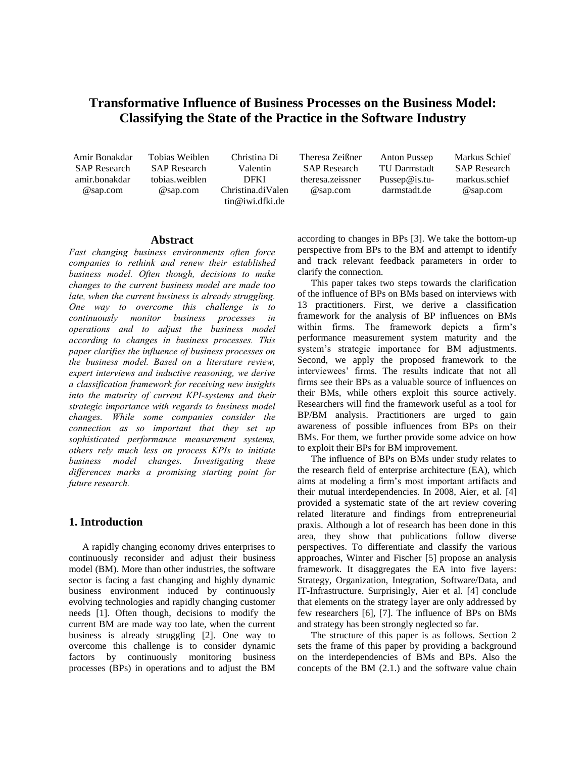# **Transformative Influence of Business Processes on the Business Model: Classifying the State of the Practice in the Software Industry**

Amir Bonakdar SAP Research amir.bonakdar @sap.com

Tobias Weiblen SAP Research tobias.weiblen @sap.com

Christina Di Valentin DFKI Christina.diValen tin@iwi.dfki.de

Theresa Zeißner SAP Research theresa.zeissner @sap.com

Anton Pussep TU Darmstadt Pussep@is.tudarmstadt.de

Markus Schief SAP Research markus.schief @sap.com

## **Abstract**

*Fast changing business environments often force companies to rethink and renew their established business model. Often though, decisions to make changes to the current business model are made too late, when the current business is already struggling. One way to overcome this challenge is to continuously monitor business processes in operations and to adjust the business model according to changes in business processes. This paper clarifies the influence of business processes on the business model. Based on a literature review, expert interviews and inductive reasoning, we derive a classification framework for receiving new insights into the maturity of current KPI-systems and their strategic importance with regards to business model changes. While some companies consider the connection as so important that they set up sophisticated performance measurement systems, others rely much less on process KPIs to initiate business model changes. Investigating these differences marks a promising starting point for future research.*

## **1. Introduction**

A rapidly changing economy drives enterprises to continuously reconsider and adjust their business model (BM). More than other industries, the software sector is facing a fast changing and highly dynamic business environment induced by continuously evolving technologies and rapidly changing customer needs [1]. Often though, decisions to modify the current BM are made way too late, when the current business is already struggling [2]. One way to overcome this challenge is to consider dynamic factors by continuously monitoring business processes (BPs) in operations and to adjust the BM according to changes in BPs [3]. We take the bottom-up perspective from BPs to the BM and attempt to identify and track relevant feedback parameters in order to clarify the connection.

This paper takes two steps towards the clarification of the influence of BPs on BMs based on interviews with 13 practitioners. First, we derive a classification framework for the analysis of BP influences on BMs within firms. The framework depicts a firm's performance measurement system maturity and the system's strategic importance for BM adjustments. Second, we apply the proposed framework to the interviewees' firms. The results indicate that not all firms see their BPs as a valuable source of influences on their BMs, while others exploit this source actively. Researchers will find the framework useful as a tool for BP/BM analysis. Practitioners are urged to gain awareness of possible influences from BPs on their BMs. For them, we further provide some advice on how to exploit their BPs for BM improvement.

The influence of BPs on BMs under study relates to the research field of enterprise architecture (EA), which aims at modeling a firm's most important artifacts and their mutual interdependencies. In 2008, Aier, et al. [4] provided a systematic state of the art review covering related literature and findings from entrepreneurial praxis. Although a lot of research has been done in this area, they show that publications follow diverse perspectives. To differentiate and classify the various approaches, Winter and Fischer [5] propose an analysis framework. It disaggregates the EA into five layers: Strategy, Organization, Integration, Software/Data, and IT-Infrastructure. Surprisingly, Aier et al. [4] conclude that elements on the strategy layer are only addressed by few researchers [6], [7]. The influence of BPs on BMs and strategy has been strongly neglected so far.

The structure of this paper is as follows. Section 2 sets the frame of this paper by providing a background on the interdependencies of BMs and BPs. Also the concepts of the BM (2.1.) and the software value chain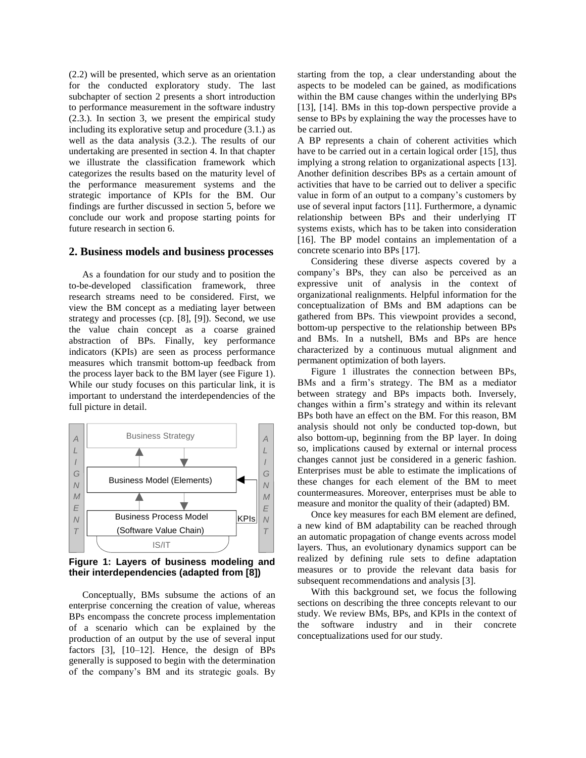(2.2) will be presented, which serve as an orientation for the conducted exploratory study. The last subchapter of section 2 presents a short introduction to performance measurement in the software industry (2.3.). In section 3, we present the empirical study including its explorative setup and procedure (3.1.) as well as the data analysis (3.2.). The results of our undertaking are presented in section 4. In that chapter we illustrate the classification framework which categorizes the results based on the maturity level of the performance measurement systems and the strategic importance of KPIs for the BM. Our findings are further discussed in section 5, before we conclude our work and propose starting points for future research in section 6.

#### **2. Business models and business processes**

As a foundation for our study and to position the to-be-developed classification framework, three research streams need to be considered. First, we view the BM concept as a mediating layer between strategy and processes (cp. [8], [9]). Second, we use the value chain concept as a coarse grained abstraction of BPs. Finally, key performance indicators (KPIs) are seen as process performance measures which transmit bottom-up feedback from the process layer back to the BM layer (see Figure 1). While our study focuses on this particular link, it is important to understand the interdependencies of the full picture in detail.



<span id="page-1-0"></span>**Figure 1: Layers of business modeling and their interdependencies (adapted from [8])**

Conceptually, BMs subsume the actions of an enterprise concerning the creation of value, whereas BPs encompass the concrete process implementation of a scenario which can be explained by the production of an output by the use of several input factors [3], [10–12]. Hence, the design of BPs generally is supposed to begin with the determination of the company's BM and its strategic goals. By starting from the top, a clear understanding about the aspects to be modeled can be gained, as modifications within the BM cause changes within the underlying BPs [13], [14]. BMs in this top-down perspective provide a sense to BPs by explaining the way the processes have to be carried out.

A BP represents a chain of coherent activities which have to be carried out in a certain logical order [15], thus implying a strong relation to organizational aspects [13]. Another definition describes BPs as a certain amount of activities that have to be carried out to deliver a specific value in form of an output to a company's customers by use of several input factors [11]. Furthermore, a dynamic relationship between BPs and their underlying IT systems exists, which has to be taken into consideration [16]. The BP model contains an implementation of a concrete scenario into BPs [17].

Considering these diverse aspects covered by a company's BPs, they can also be perceived as an expressive unit of analysis in the context of organizational realignments. Helpful information for the conceptualization of BMs and BM adaptions can be gathered from BPs. This viewpoint provides a second, bottom-up perspective to the relationship between BPs and BMs. In a nutshell, BMs and BPs are hence characterized by a continuous mutual alignment and permanent optimization of both layers.

[Figure 1](#page-1-0) illustrates the connection between BPs, BMs and a firm's strategy. The BM as a mediator between strategy and BPs impacts both. Inversely, changes within a firm's strategy and within its relevant BPs both have an effect on the BM. For this reason, BM analysis should not only be conducted top-down, but also bottom-up, beginning from the BP layer. In doing so, implications caused by external or internal process changes cannot just be considered in a generic fashion. Enterprises must be able to estimate the implications of these changes for each element of the BM to meet countermeasures. Moreover, enterprises must be able to measure and monitor the quality of their (adapted) BM.

Once key measures for each BM element are defined, a new kind of BM adaptability can be reached through an automatic propagation of change events across model layers. Thus, an evolutionary dynamics support can be realized by defining rule sets to define adaptation measures or to provide the relevant data basis for subsequent recommendations and analysis [3].

With this background set, we focus the following sections on describing the three concepts relevant to our study. We review BMs, BPs, and KPIs in the context of the software industry and in their concrete conceptualizations used for our study.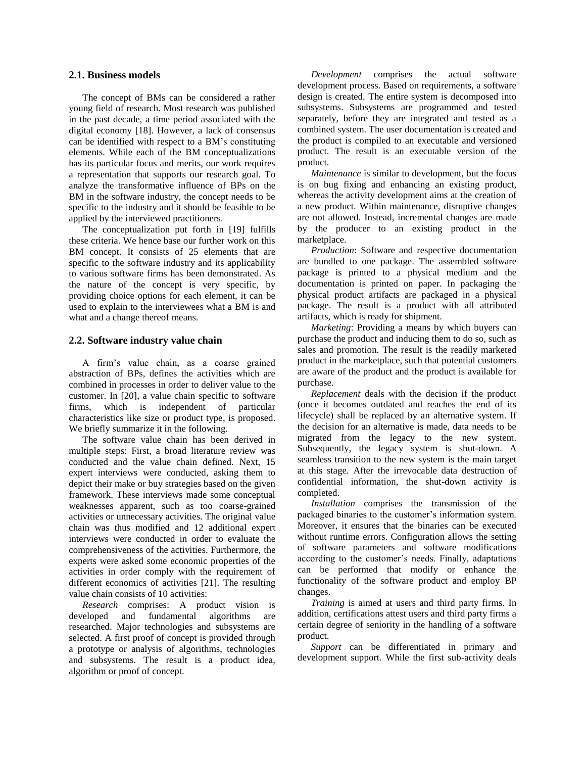#### **2.1. Business models**

The concept of BMs can be considered a rather young field of research. Most research was published in the past decade, a time period associated with the digital economy [18]. However, a lack of consensus can be identified with respect to a BM's constituting elements. While each of the BM conceptualizations has its particular focus and merits, our work requires a representation that supports our research goal. To analyze the transformative influence of BPs on the BM in the software industry, the concept needs to be specific to the industry and it should be feasible to be applied by the interviewed practitioners.

The conceptualization put forth in [19] fulfills these criteria. We hence base our further work on this BM concept. It consists of 25 elements that are specific to the software industry and its applicability to various software firms has been demonstrated. As the nature of the concept is very specific, by providing choice options for each element, it can be used to explain to the interviewees what a BM is and what and a change thereof means.

## **2.2. Software industry value chain**

A firm's value chain, as a coarse grained abstraction of BPs, defines the activities which are combined in processes in order to deliver value to the customer. In [20], a value chain specific to software firms, which is independent of particular characteristics like size or product type, is proposed. We briefly summarize it in the following.

The software value chain has been derived in multiple steps: First, a broad literature review was conducted and the value chain defined. Next, 15 expert interviews were conducted, asking them to depict their make or buy strategies based on the given framework. These interviews made some conceptual weaknesses apparent, such as too coarse-grained activities or unnecessary activities. The original value chain was thus modified and 12 additional expert interviews were conducted in order to evaluate the comprehensiveness of the activities. Furthermore, the experts were asked some economic properties of the activities in order comply with the requirement of different economics of activities [21]. The resulting value chain consists of 10 activities:

*Research* comprises: A product vision is developed and fundamental algorithms are researched. Major technologies and subsystems are selected. A first proof of concept is provided through a prototype or analysis of algorithms, technologies and subsystems. The result is a product idea, algorithm or proof of concept.

*Development* comprises the actual software development process. Based on requirements, a software design is created. The entire system is decomposed into subsystems. Subsystems are programmed and tested separately, before they are integrated and tested as a combined system. The user documentation is created and the product is compiled to an executable and versioned product. The result is an executable version of the product.

*Maintenance* is similar to development, but the focus is on bug fixing and enhancing an existing product, whereas the activity development aims at the creation of a new product. Within maintenance, disruptive changes are not allowed. Instead, incremental changes are made by the producer to an existing product in the marketplace.

*Production*: Software and respective documentation are bundled to one package. The assembled software package is printed to a physical medium and the documentation is printed on paper. In packaging the physical product artifacts are packaged in a physical package. The result is a product with all attributed artifacts, which is ready for shipment.

*Marketing*: Providing a means by which buyers can purchase the product and inducing them to do so, such as sales and promotion. The result is the readily marketed product in the marketplace, such that potential customers are aware of the product and the product is available for purchase.

*Replacement* deals with the decision if the product (once it becomes outdated and reaches the end of its lifecycle) shall be replaced by an alternative system. If the decision for an alternative is made, data needs to be migrated from the legacy to the new system. Subsequently, the legacy system is shut-down. A seamless transition to the new system is the main target at this stage. After the irrevocable data destruction of confidential information, the shut-down activity is completed.

*Installation* comprises the transmission of the packaged binaries to the customer's information system. Moreover, it ensures that the binaries can be executed without runtime errors. Configuration allows the setting of software parameters and software modifications according to the customer's needs. Finally, adaptations can be performed that modify or enhance the functionality of the software product and employ BP changes.

*Training* is aimed at users and third party firms. In addition, certifications attest users and third party firms a certain degree of seniority in the handling of a software product.

*Support* can be differentiated in primary and development support. While the first sub-activity deals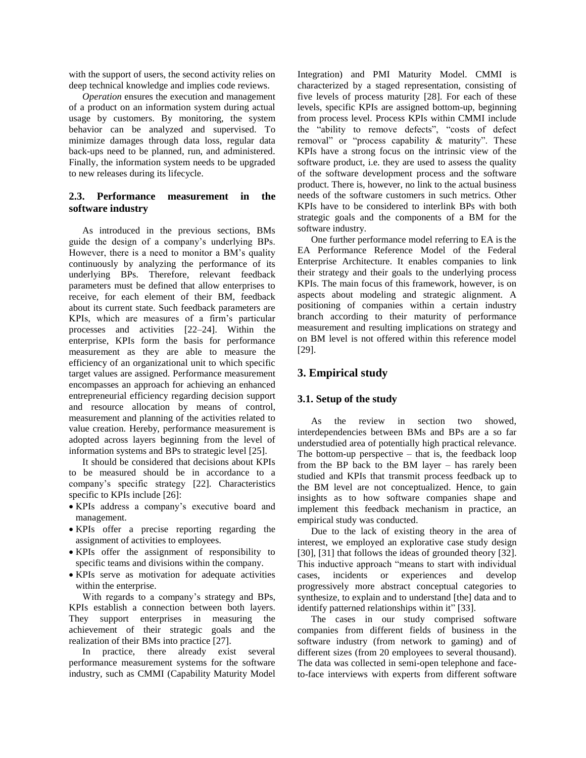with the support of users, the second activity relies on deep technical knowledge and implies code reviews.

*Operation* ensures the execution and management of a product on an information system during actual usage by customers. By monitoring, the system behavior can be analyzed and supervised. To minimize damages through data loss, regular data back-ups need to be planned, run, and administered. Finally, the information system needs to be upgraded to new releases during its lifecycle.

## **2.3. Performance measurement in the software industry**

As introduced in the previous sections, BMs guide the design of a company's underlying BPs. However, there is a need to monitor a BM's quality continuously by analyzing the performance of its underlying BPs. Therefore, relevant feedback parameters must be defined that allow enterprises to receive, for each element of their BM, feedback about its current state. Such feedback parameters are KPIs, which are measures of a firm's particular processes and activities [22–24]. Within the enterprise, KPIs form the basis for performance measurement as they are able to measure the efficiency of an organizational unit to which specific target values are assigned. Performance measurement encompasses an approach for achieving an enhanced entrepreneurial efficiency regarding decision support and resource allocation by means of control, measurement and planning of the activities related to value creation. Hereby, performance measurement is adopted across layers beginning from the level of information systems and BPs to strategic level [25].

It should be considered that decisions about KPIs to be measured should be in accordance to a company's specific strategy [22]. Characteristics specific to KPIs include [26]:

- KPIs address a company's executive board and management.
- KPIs offer a precise reporting regarding the assignment of activities to employees.
- KPIs offer the assignment of responsibility to specific teams and divisions within the company.
- KPIs serve as motivation for adequate activities within the enterprise.

With regards to a company's strategy and BPs, KPIs establish a connection between both layers. They support enterprises in measuring the achievement of their strategic goals and the realization of their BMs into practice [27].

In practice, there already exist several performance measurement systems for the software industry, such as CMMI (Capability Maturity Model Integration) and PMI Maturity Model. CMMI is characterized by a staged representation, consisting of five levels of process maturity [28]. For each of these levels, specific KPIs are assigned bottom-up, beginning from process level. Process KPIs within CMMI include the "ability to remove defects", "costs of defect removal" or "process capability & maturity". These KPIs have a strong focus on the intrinsic view of the software product, i.e. they are used to assess the quality of the software development process and the software product. There is, however, no link to the actual business needs of the software customers in such metrics. Other KPIs have to be considered to interlink BPs with both strategic goals and the components of a BM for the software industry.

One further performance model referring to EA is the EA Performance Reference Model of the Federal Enterprise Architecture. It enables companies to link their strategy and their goals to the underlying process KPIs. The main focus of this framework, however, is on aspects about modeling and strategic alignment. A positioning of companies within a certain industry branch according to their maturity of performance measurement and resulting implications on strategy and on BM level is not offered within this reference model [29].

# **3. Empirical study**

## **3.1. Setup of the study**

As the review in section two showed, interdependencies between BMs and BPs are a so far understudied area of potentially high practical relevance. The bottom-up perspective  $-$  that is, the feedback loop from the BP back to the BM layer – has rarely been studied and KPIs that transmit process feedback up to the BM level are not conceptualized. Hence, to gain insights as to how software companies shape and implement this feedback mechanism in practice, an empirical study was conducted.

Due to the lack of existing theory in the area of interest, we employed an explorative case study design [30], [31] that follows the ideas of grounded theory [32]. This inductive approach "means to start with individual cases, incidents or experiences and develop progressively more abstract conceptual categories to synthesize, to explain and to understand [the] data and to identify patterned relationships within it" [33].

The cases in our study comprised software companies from different fields of business in the software industry (from network to gaming) and of different sizes (from 20 employees to several thousand). The data was collected in semi-open telephone and faceto-face interviews with experts from different software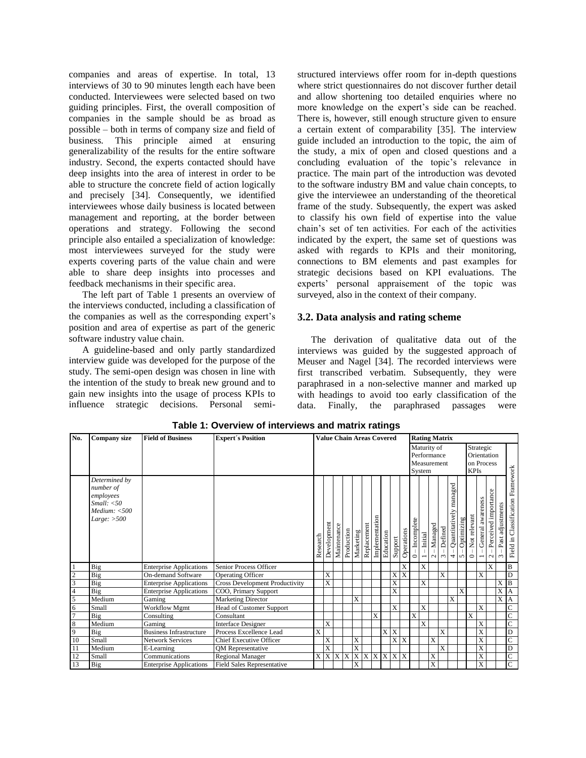companies and areas of expertise. In total, 13 interviews of 30 to 90 minutes length each have been conducted. Interviewees were selected based on two guiding principles. First, the overall composition of companies in the sample should be as broad as possible – both in terms of company size and field of business. This principle aimed at ensuring generalizability of the results for the entire software industry. Second, the experts contacted should have deep insights into the area of interest in order to be able to structure the concrete field of action logically and precisely [34]. Consequently, we identified interviewees whose daily business is located between management and reporting, at the border between operations and strategy. Following the second principle also entailed a specialization of knowledge: most interviewees surveyed for the study were experts covering parts of the value chain and were able to share deep insights into processes and feedback mechanisms in their specific area.

The left part of Table 1 presents an overview of the interviews conducted, including a classification of the companies as well as the corresponding expert's position and area of expertise as part of the generic software industry value chain.

A guideline-based and only partly standardized interview guide was developed for the purpose of the study. The semi-open design was chosen in line with the intention of the study to break new ground and to gain new insights into the usage of process KPIs to influence strategic decisions. Personal semistructured interviews offer room for in-depth questions where strict questionnaires do not discover further detail and allow shortening too detailed enquiries where no more knowledge on the expert's side can be reached. There is, however, still enough structure given to ensure a certain extent of comparability [35]. The interview guide included an introduction to the topic, the aim of the study, a mix of open and closed questions and a concluding evaluation of the topic's relevance in practice. The main part of the introduction was devoted to the software industry BM and value chain concepts, to give the interviewee an understanding of the theoretical frame of the study. Subsequently, the expert was asked to classify his own field of expertise into the value chain's set of ten activities. For each of the activities indicated by the expert, the same set of questions was asked with regards to KPIs and their monitoring, connections to BM elements and past examples for strategic decisions based on KPI evaluations. The experts' personal appraisement of the topic was surveyed, also in the context of their company.

## **3.2. Data analysis and rating scheme**

The derivation of qualitative data out of the interviews was guided by the suggested approach of Meuser and Nagel [34]. The recorded interviews were first transcribed verbatim. Subsequently, they were paraphrased in a non-selective manner and marked up with headings to avoid too early classification of the data. Finally, the paraphrased passages were

| No.            | <b>Company size</b>                                                                  | <b>Field of Business</b>       | <b>Expert's Position</b>              | <b>Value Chain Areas Covered</b> |             |             |            |                |             |                |                |                |                         |                                                     |                                         | <b>Rating Matrix</b> |                       |                                             |                 |                                                       |                                               |                                |                                 |                                      |  |  |  |
|----------------|--------------------------------------------------------------------------------------|--------------------------------|---------------------------------------|----------------------------------|-------------|-------------|------------|----------------|-------------|----------------|----------------|----------------|-------------------------|-----------------------------------------------------|-----------------------------------------|----------------------|-----------------------|---------------------------------------------|-----------------|-------------------------------------------------------|-----------------------------------------------|--------------------------------|---------------------------------|--------------------------------------|--|--|--|
|                |                                                                                      |                                |                                       |                                  |             |             |            |                |             |                |                |                |                         | Maturity of<br>Performance<br>Measurement<br>System |                                         |                      |                       |                                             |                 | Strategic<br>Orientation<br>on Process<br><b>KPIs</b> |                                               |                                |                                 |                                      |  |  |  |
|                | Determined by<br>number of<br>employees<br>Small: <50<br>Median: <500<br>Large: >500 |                                |                                       | Research                         | Development | Maintenance | Production | Marketing      | Replacement | Implementation | Education      | Support        | Operations              | $-$ Incomplete<br>$\circ$                           | $-$ Initial<br>$\overline{\phantom{0}}$ | $-Managed$<br>$\sim$ | Defined<br>$\epsilon$ | managed<br>Quantitatively<br>$\overline{ }$ | Optimizing<br>5 | Not relevant<br>$\circ$                               | General awareness<br>$\overline{\phantom{0}}$ | Perceived importance<br>$\sim$ | adjustments<br>Past :<br>$\sim$ | Classification Framework<br>Field in |  |  |  |
|                | Big                                                                                  | <b>Enterprise Applications</b> | Senior Process Officer                |                                  |             |             |            |                |             |                |                |                | X                       |                                                     | X                                       |                      |                       |                                             |                 |                                                       |                                               | X                              |                                 | B                                    |  |  |  |
| $\overline{c}$ | Big                                                                                  | On-demand Software             | <b>Operating Officer</b>              |                                  | X           |             |            |                |             |                |                | X <sub>1</sub> | $\overline{\mathbf{x}}$ |                                                     |                                         |                      | X                     |                                             |                 |                                                       | X                                             |                                |                                 | D                                    |  |  |  |
| 3              | Big                                                                                  | <b>Enterprise Applications</b> | <b>Cross Development Productivity</b> |                                  | X           |             |            |                |             |                |                | $\overline{X}$ |                         |                                                     | X                                       |                      |                       |                                             |                 |                                                       |                                               |                                | X                               | $\overline{B}$                       |  |  |  |
| $\overline{4}$ | Big                                                                                  | <b>Enterprise Applications</b> | COO, Primary Support                  |                                  |             |             |            |                |             |                |                | X              |                         |                                                     |                                         |                      |                       |                                             | $\mathbf{X}$    |                                                       |                                               |                                | X                               | $\mathbf{A}$                         |  |  |  |
| 5              | Medium                                                                               | Gaming                         | <b>Marketing Director</b>             |                                  |             |             |            | X              |             |                |                |                |                         |                                                     |                                         |                      |                       | X                                           |                 |                                                       |                                               |                                | X                               | A                                    |  |  |  |
| 6              | Small                                                                                | Workflow Mgmt                  | <b>Head of Customer Support</b>       |                                  |             |             |            |                |             |                |                | X              |                         |                                                     | X                                       |                      |                       |                                             |                 |                                                       | X                                             |                                |                                 | Ċ                                    |  |  |  |
| $\overline{7}$ | Big                                                                                  | Consulting                     | Consultant                            |                                  |             |             |            |                |             | X              |                |                |                         | X                                                   |                                         |                      |                       |                                             |                 | $\overline{\mathrm{X}}$                               |                                               |                                |                                 | $\overline{\rm c}$                   |  |  |  |
| $\,8\,$        | Medium                                                                               | Gaming                         | <b>Interface Designer</b>             |                                  | X           |             |            |                |             |                |                |                |                         |                                                     | X                                       |                      |                       |                                             |                 |                                                       | X                                             |                                |                                 | $\overline{C}$                       |  |  |  |
| 9              | Big                                                                                  | <b>Business Infrastructure</b> | Process Excellence Lead               | X                                |             |             |            |                |             |                | X              | X              |                         |                                                     |                                         |                      | X                     |                                             |                 |                                                       | X                                             |                                |                                 | D                                    |  |  |  |
| 10             | Small                                                                                | <b>Network Services</b>        | Chief Executive Officer               |                                  | X           |             |            | X              |             |                |                | X X            |                         |                                                     |                                         | X                    |                       |                                             |                 |                                                       | X                                             |                                |                                 | C                                    |  |  |  |
| 11             | Medium                                                                               | E-Learning                     | <b>QM</b> Representative              |                                  | X           |             |            | X              |             |                |                |                |                         |                                                     |                                         |                      | X                     |                                             |                 |                                                       | X                                             |                                |                                 | D                                    |  |  |  |
| 12             | Small                                                                                | Communications                 | <b>Regional Manager</b>               | X                                | X           | X           | X          | $\overline{X}$ | $\mathbf X$ | X              | $\overline{X}$ | X X            |                         |                                                     |                                         | X                    |                       |                                             |                 |                                                       | X                                             |                                |                                 | $\overline{\rm c}$                   |  |  |  |
| 13             | Big                                                                                  | <b>Enterprise Applications</b> | Field Sales Representative            |                                  |             |             |            | X              |             |                |                |                |                         |                                                     |                                         | $\overline{X}$       |                       |                                             |                 |                                                       | X                                             |                                |                                 | $\overline{C}$                       |  |  |  |

**Table 1: Overview of interviews and matrix ratings**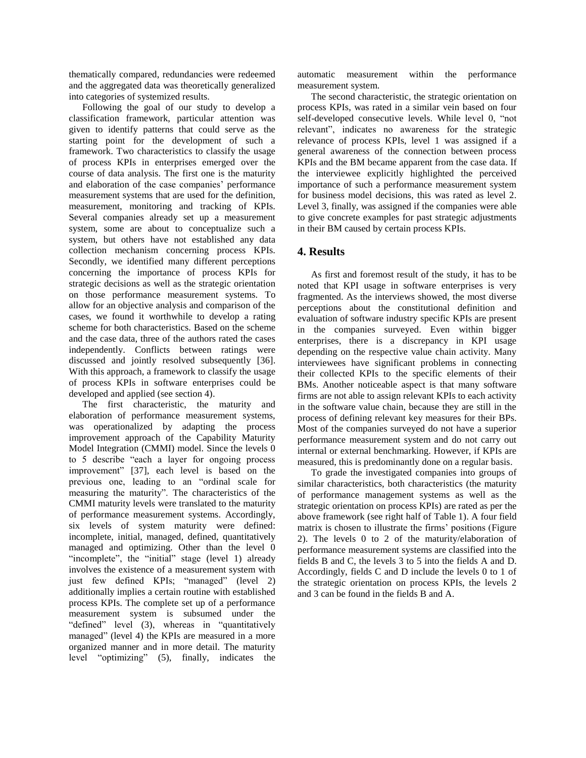thematically compared, redundancies were redeemed and the aggregated data was theoretically generalized into categories of systemized results.

Following the goal of our study to develop a classification framework, particular attention was given to identify patterns that could serve as the starting point for the development of such a framework. Two characteristics to classify the usage of process KPIs in enterprises emerged over the course of data analysis. The first one is the maturity and elaboration of the case companies' performance measurement systems that are used for the definition, measurement, monitoring and tracking of KPIs. Several companies already set up a measurement system, some are about to conceptualize such a system, but others have not established any data collection mechanism concerning process KPIs. Secondly, we identified many different perceptions concerning the importance of process KPIs for strategic decisions as well as the strategic orientation on those performance measurement systems. To allow for an objective analysis and comparison of the cases, we found it worthwhile to develop a rating scheme for both characteristics. Based on the scheme and the case data, three of the authors rated the cases independently. Conflicts between ratings were discussed and jointly resolved subsequently [36]. With this approach, a framework to classify the usage of process KPIs in software enterprises could be developed and applied (see section 4).

The first characteristic, the maturity and elaboration of performance measurement systems, was operationalized by adapting the process improvement approach of the Capability Maturity Model Integration (CMMI) model. Since the levels 0 to 5 describe "each a layer for ongoing process improvement" [37], each level is based on the previous one, leading to an "ordinal scale for measuring the maturity". The characteristics of the CMMI maturity levels were translated to the maturity of performance measurement systems. Accordingly, six levels of system maturity were defined: incomplete, initial, managed, defined, quantitatively managed and optimizing. Other than the level 0 "incomplete", the "initial" stage (level 1) already involves the existence of a measurement system with just few defined KPIs; "managed" (level 2) additionally implies a certain routine with established process KPIs. The complete set up of a performance measurement system is subsumed under the "defined" level (3), whereas in "quantitatively managed" (level 4) the KPIs are measured in a more organized manner and in more detail. The maturity level "optimizing" (5), finally, indicates the automatic measurement within the performance measurement system.

The second characteristic, the strategic orientation on process KPIs, was rated in a similar vein based on four self-developed consecutive levels. While level 0, "not relevant", indicates no awareness for the strategic relevance of process KPIs, level 1 was assigned if a general awareness of the connection between process KPIs and the BM became apparent from the case data. If the interviewee explicitly highlighted the perceived importance of such a performance measurement system for business model decisions, this was rated as level 2. Level 3, finally, was assigned if the companies were able to give concrete examples for past strategic adjustments in their BM caused by certain process KPIs.

## **4. Results**

As first and foremost result of the study, it has to be noted that KPI usage in software enterprises is very fragmented. As the interviews showed, the most diverse perceptions about the constitutional definition and evaluation of software industry specific KPIs are present in the companies surveyed. Even within bigger enterprises, there is a discrepancy in KPI usage depending on the respective value chain activity. Many interviewees have significant problems in connecting their collected KPIs to the specific elements of their BMs. Another noticeable aspect is that many software firms are not able to assign relevant KPIs to each activity in the software value chain, because they are still in the process of defining relevant key measures for their BPs. Most of the companies surveyed do not have a superior performance measurement system and do not carry out internal or external benchmarking. However, if KPIs are measured, this is predominantly done on a regular basis.

To grade the investigated companies into groups of similar characteristics, both characteristics (the maturity of performance management systems as well as the strategic orientation on process KPIs) are rated as per the above framework (see right half of Table 1). A four field matrix is chosen to illustrate the firms' positions [\(Figure](#page-6-0)  [2\)](#page-6-0). The levels 0 to 2 of the maturity/elaboration of performance measurement systems are classified into the fields B and C, the levels 3 to 5 into the fields A and D. Accordingly, fields C and D include the levels 0 to 1 of the strategic orientation on process KPIs, the levels 2 and 3 can be found in the fields B and A.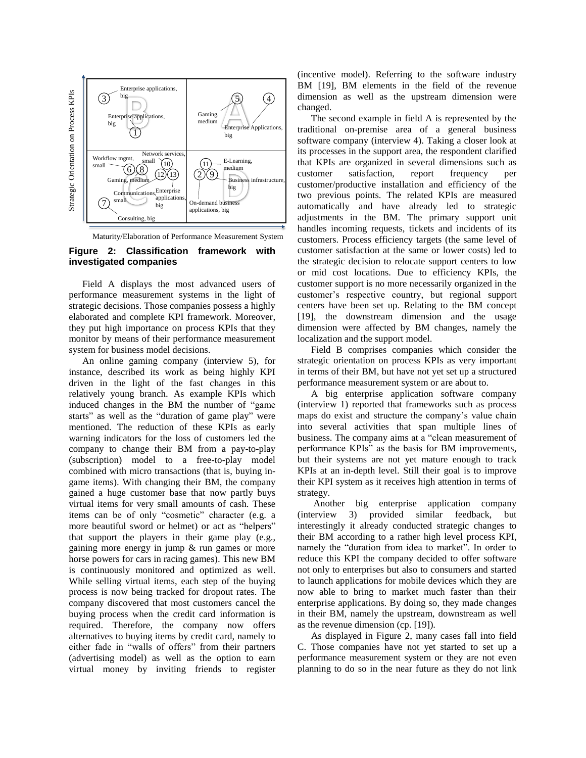

Maturity/Elaboration of Performance Measurement System

#### <span id="page-6-0"></span>**Figure 2: Classification framework with investigated companies**

Field A displays the most advanced users of performance measurement systems in the light of strategic decisions. Those companies possess a highly elaborated and complete KPI framework. Moreover, they put high importance on process KPIs that they monitor by means of their performance measurement system for business model decisions.

An online gaming company (interview 5), for instance, described its work as being highly KPI driven in the light of the fast changes in this relatively young branch. As example KPIs which induced changes in the BM the number of "game starts" as well as the "duration of game play" were mentioned. The reduction of these KPIs as early warning indicators for the loss of customers led the company to change their BM from a pay-to-play (subscription) model to a free-to-play model combined with micro transactions (that is, buying ingame items). With changing their BM, the company gained a huge customer base that now partly buys virtual items for very small amounts of cash. These items can be of only "cosmetic" character (e.g. a more beautiful sword or helmet) or act as "helpers" that support the players in their game play (e.g., gaining more energy in jump & run games or more horse powers for cars in racing games). This new BM is continuously monitored and optimized as well. While selling virtual items, each step of the buying process is now being tracked for dropout rates. The company discovered that most customers cancel the buying process when the credit card information is required. Therefore, the company now offers alternatives to buying items by credit card, namely to either fade in "walls of offers" from their partners (advertising model) as well as the option to earn virtual money by inviting friends to register

(incentive model). Referring to the software industry BM [19], BM elements in the field of the revenue dimension as well as the upstream dimension were changed.

The second example in field A is represented by the traditional on-premise area of a general business software company (interview 4). Taking a closer look at its processes in the support area, the respondent clarified that KPIs are organized in several dimensions such as customer satisfaction, report frequency per customer/productive installation and efficiency of the two previous points. The related KPIs are measured automatically and have already led to strategic adjustments in the BM. The primary support unit handles incoming requests, tickets and incidents of its customers. Process efficiency targets (the same level of customer satisfaction at the same or lower costs) led to the strategic decision to relocate support centers to low or mid cost locations. Due to efficiency KPIs, the customer support is no more necessarily organized in the customer's respective country, but regional support centers have been set up. Relating to the BM concept [19], the downstream dimension and the usage dimension were affected by BM changes, namely the localization and the support model.

Field B comprises companies which consider the strategic orientation on process KPIs as very important in terms of their BM, but have not yet set up a structured performance measurement system or are about to.

A big enterprise application software company (interview 1) reported that frameworks such as process maps do exist and structure the company's value chain into several activities that span multiple lines of business. The company aims at a "clean measurement of performance KPIs" as the basis for BM improvements, but their systems are not yet mature enough to track KPIs at an in-depth level. Still their goal is to improve their KPI system as it receives high attention in terms of strategy.

Another big enterprise application company (interview 3) provided similar feedback, but interestingly it already conducted strategic changes to their BM according to a rather high level process KPI, namely the "duration from idea to market". In order to reduce this KPI the company decided to offer software not only to enterprises but also to consumers and started to launch applications for mobile devices which they are now able to bring to market much faster than their enterprise applications. By doing so, they made changes in their BM, namely the upstream, downstream as well as the revenue dimension (cp. [19]).

As displayed in [Figure 2,](#page-6-0) many cases fall into field C. Those companies have not yet started to set up a performance measurement system or they are not even planning to do so in the near future as they do not link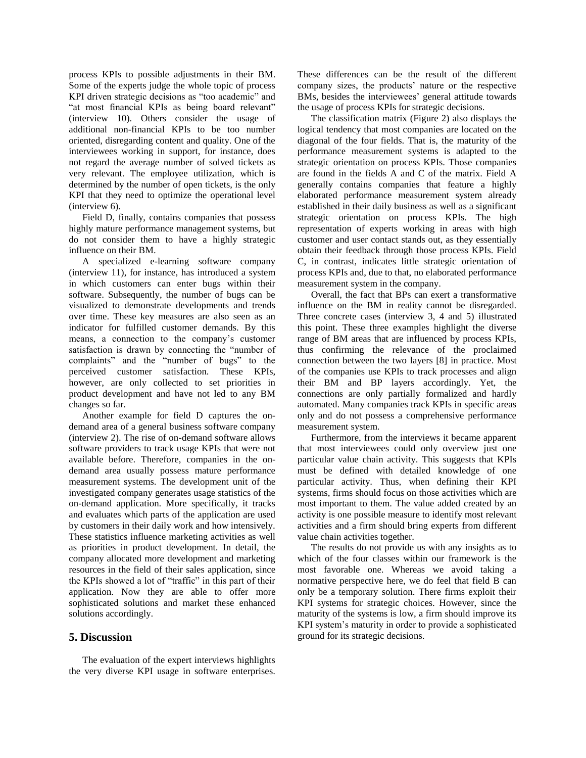process KPIs to possible adjustments in their BM. Some of the experts judge the whole topic of process KPI driven strategic decisions as "too academic" and "at most financial KPIs as being board relevant" (interview 10). Others consider the usage of additional non-financial KPIs to be too number oriented, disregarding content and quality. One of the interviewees working in support, for instance, does not regard the average number of solved tickets as very relevant. The employee utilization, which is determined by the number of open tickets, is the only KPI that they need to optimize the operational level (interview 6).

Field D, finally, contains companies that possess highly mature performance management systems, but do not consider them to have a highly strategic influence on their BM.

A specialized e-learning software company (interview 11), for instance, has introduced a system in which customers can enter bugs within their software. Subsequently, the number of bugs can be visualized to demonstrate developments and trends over time. These key measures are also seen as an indicator for fulfilled customer demands. By this means, a connection to the company's customer satisfaction is drawn by connecting the "number of complaints" and the "number of bugs" to the perceived customer satisfaction. These KPIs, however, are only collected to set priorities in product development and have not led to any BM changes so far.

Another example for field D captures the ondemand area of a general business software company (interview 2). The rise of on-demand software allows software providers to track usage KPIs that were not available before. Therefore, companies in the ondemand area usually possess mature performance measurement systems. The development unit of the investigated company generates usage statistics of the on-demand application. More specifically, it tracks and evaluates which parts of the application are used by customers in their daily work and how intensively. These statistics influence marketing activities as well as priorities in product development. In detail, the company allocated more development and marketing resources in the field of their sales application, since the KPIs showed a lot of "traffic" in this part of their application. Now they are able to offer more sophisticated solutions and market these enhanced solutions accordingly.

## **5. Discussion**

The evaluation of the expert interviews highlights the very diverse KPI usage in software enterprises.

These differences can be the result of the different company sizes, the products' nature or the respective BMs, besides the interviewees' general attitude towards the usage of process KPIs for strategic decisions.

The classification matrix [\(Figure 2\)](#page-6-0) also displays the logical tendency that most companies are located on the diagonal of the four fields. That is, the maturity of the performance measurement systems is adapted to the strategic orientation on process KPIs. Those companies are found in the fields A and C of the matrix. Field A generally contains companies that feature a highly elaborated performance measurement system already established in their daily business as well as a significant strategic orientation on process KPIs. The high representation of experts working in areas with high customer and user contact stands out, as they essentially obtain their feedback through those process KPIs. Field C, in contrast, indicates little strategic orientation of process KPIs and, due to that, no elaborated performance measurement system in the company.

Overall, the fact that BPs can exert a transformative influence on the BM in reality cannot be disregarded. Three concrete cases (interview 3, 4 and 5) illustrated this point. These three examples highlight the diverse range of BM areas that are influenced by process KPIs, thus confirming the relevance of the proclaimed connection between the two layers [8] in practice. Most of the companies use KPIs to track processes and align their BM and BP layers accordingly. Yet, the connections are only partially formalized and hardly automated. Many companies track KPIs in specific areas only and do not possess a comprehensive performance measurement system.

Furthermore, from the interviews it became apparent that most interviewees could only overview just one particular value chain activity. This suggests that KPIs must be defined with detailed knowledge of one particular activity. Thus, when defining their KPI systems, firms should focus on those activities which are most important to them. The value added created by an activity is one possible measure to identify most relevant activities and a firm should bring experts from different value chain activities together.

The results do not provide us with any insights as to which of the four classes within our framework is the most favorable one. Whereas we avoid taking a normative perspective here, we do feel that field B can only be a temporary solution. There firms exploit their KPI systems for strategic choices. However, since the maturity of the systems is low, a firm should improve its KPI system's maturity in order to provide a sophisticated ground for its strategic decisions.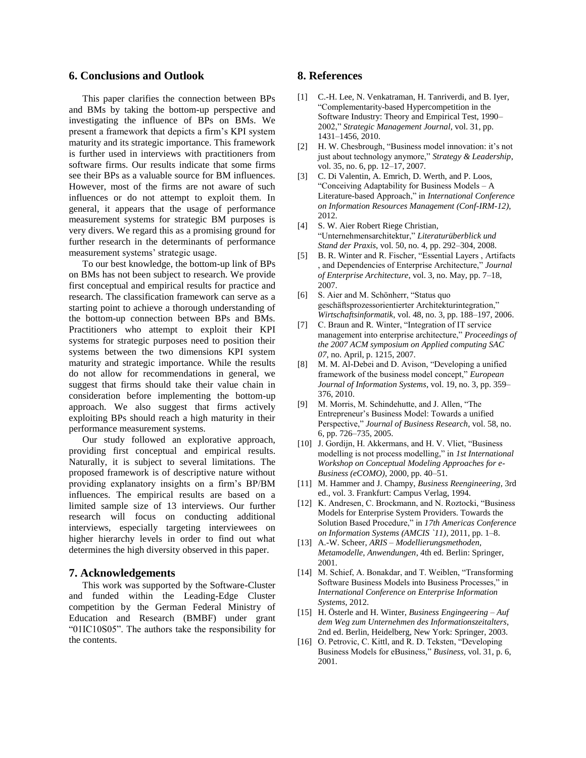## **6. Conclusions and Outlook**

This paper clarifies the connection between BPs and BMs by taking the bottom-up perspective and investigating the influence of BPs on BMs. We present a framework that depicts a firm's KPI system maturity and its strategic importance. This framework is further used in interviews with practitioners from software firms. Our results indicate that some firms see their BPs as a valuable source for BM influences. However, most of the firms are not aware of such influences or do not attempt to exploit them. In general, it appears that the usage of performance measurement systems for strategic BM purposes is very divers. We regard this as a promising ground for further research in the determinants of performance measurement systems' strategic usage.

To our best knowledge, the bottom-up link of BPs on BMs has not been subject to research. We provide first conceptual and empirical results for practice and research. The classification framework can serve as a starting point to achieve a thorough understanding of the bottom-up connection between BPs and BMs. Practitioners who attempt to exploit their KPI systems for strategic purposes need to position their systems between the two dimensions KPI system maturity and strategic importance. While the results do not allow for recommendations in general, we suggest that firms should take their value chain in consideration before implementing the bottom-up approach. We also suggest that firms actively exploiting BPs should reach a high maturity in their performance measurement systems.

Our study followed an explorative approach, providing first conceptual and empirical results. Naturally, it is subject to several limitations. The proposed framework is of descriptive nature without providing explanatory insights on a firm's BP/BM influences. The empirical results are based on a limited sample size of 13 interviews. Our further research will focus on conducting additional interviews, especially targeting interviewees on higher hierarchy levels in order to find out what determines the high diversity observed in this paper.

#### **7. Acknowledgements**

This work was supported by the Software-Cluster and funded within the Leading-Edge Cluster competition by the German Federal Ministry of Education and Research (BMBF) under grant "01IC10S05". The authors take the responsibility for the contents.

## **8. References**

- [1] C.-H. Lee, N. Venkatraman, H. Tanriverdi, and B. Iyer, "Complementarity-based Hypercompetition in the Software Industry: Theory and Empirical Test, 1990– 2002," *Strategic Management Journal*, vol. 31, pp. 1431–1456, 2010.
- [2] H. W. Chesbrough, "Business model innovation: it's not just about technology anymore," *Strategy & Leadership*, vol. 35, no. 6, pp. 12–17, 2007.
- [3] C. Di Valentin, A. Emrich, D. Werth, and P. Loos, "Conceiving Adaptability for Business Models – A Literature-based Approach," in *International Conference on Information Resources Management (Conf-IRM-12)*, 2012.
- [4] S. W. Aier Robert Riege Christian, "Unternehmensarchitektur," *Literaturüberblick und Stand der Praxis*, vol. 50, no. 4, pp. 292–304, 2008.
- [5] B. R. Winter and R. Fischer, "Essential Layers , Artifacts , and Dependencies of Enterprise Architecture," *Journal of Enterprise Architecture*, vol. 3, no. May, pp. 7–18, 2007.
- [6] S. Aier and M. Schönherr, "Status quo geschäftsprozessorientierter Architekturintegration," *Wirtschaftsinformatik*, vol. 48, no. 3, pp. 188–197, 2006.
- [7] C. Braun and R. Winter, "Integration of IT service management into enterprise architecture," *Proceedings of the 2007 ACM symposium on Applied computing SAC 07*, no. April, p. 1215, 2007.
- [8] M. M. Al-Debei and D. Avison, "Developing a unified framework of the business model concept," *European Journal of Information Systems*, vol. 19, no. 3, pp. 359– 376, 2010.
- [9] M. Morris, M. Schindehutte, and J. Allen, "The Entrepreneur's Business Model: Towards a unified Perspective," *Journal of Business Research*, vol. 58, no. 6, pp. 726–735, 2005.
- [10] J. Gordijn, H. Akkermans, and H. V. Vliet, "Business" modelling is not process modelling," in *1st International Workshop on Conceptual Modeling Approaches for e-Business (eCOMO)*, 2000, pp. 40–51.
- [11] M. Hammer and J. Champy, *Business Reengineering*, 3rd ed., vol. 3. Frankfurt: Campus Verlag, 1994.
- [12] K. Andresen, C. Brockmann, and N. Roztocki, "Business Models for Enterprise System Providers. Towards the Solution Based Procedure," in *17th Americas Conference on Information Systems (AMCIS `11)*, 2011, pp. 1–8.
- [13] A.-W. Scheer, *ARIS – Modellierungsmethoden, Metamodelle, Anwendungen*, 4th ed. Berlin: Springer, 2001.
- [14] M. Schief, A. Bonakdar, and T. Weiblen, "Transforming Software Business Models into Business Processes," in *International Conference on Enterprise Information Systems*, 2012.
- [15] H. Österle and H. Winter, *Business Engingeering – Auf dem Weg zum Unternehmen des Informationszeitalters*, 2nd ed. Berlin, Heidelberg, New York: Springer, 2003.
- [16] O. Petrovic, C. Kittl, and R. D. Teksten, "Developing Business Models for eBusiness," *Business*, vol. 31, p. 6, 2001.